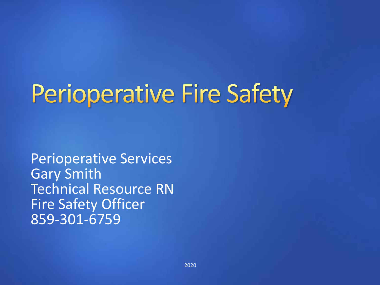# **Perioperative Fire Safety**

Perioperative Services Gary Smith Technical Resource RN Fire Safety Officer 859-301-6759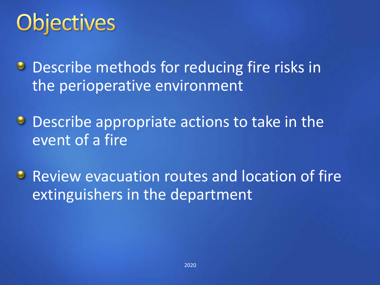# **Objectives**

- **Describe methods for reducing fire risks in** the perioperative environment
- **Describe appropriate actions to take in the** event of a fire
- **Review evacuation routes and location of fire** extinguishers in the department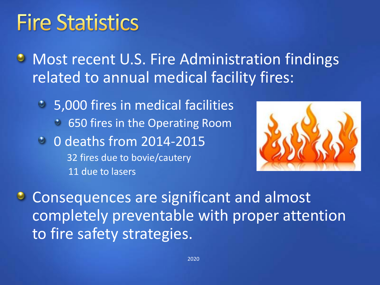#### **Fire Statistics**

**U** Most recent U.S. Fire Administration findings related to annual medical facility fires:

5,000 fires in medical facilities 650 fires in the Operating Room • 0 deaths from 2014-2015 32 fires due to bovie/cautery 11 due to lasers



**Consequences are significant and almost** completely preventable with proper attention to fire safety strategies.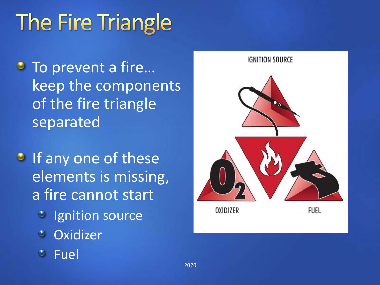# The Fire Triangle

- To prevent a fire... keep the components of the fire triangle separated
- **If any one of these** elements is missing, a fire cannot start
	- **Ignition source**
	- **Oxidizer**
	- Fuel

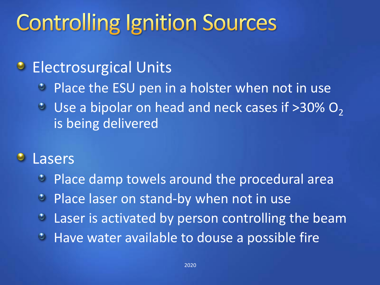### **Controlling Ignition Sources**

#### Electrosurgical Units  $\bullet$

- Place the ESU pen in a holster when not in use  $\bullet$
- $\cdot$  Use a bipolar on head and neck cases if >30% O<sub>2</sub> is being delivered

#### Lasers  $\bullet$

- Place damp towels around the procedural area  $\bullet$
- Place laser on stand-by when not in use  $\bullet$
- Laser is activated by person controlling the beam  $\bullet$
- **Have water available to douse a possible fire**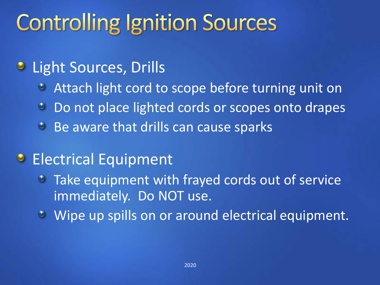### **Controlling Ignition Sources**

#### **C** Light Sources, Drills

- Attach light cord to scope before turning unit on  $\bullet$
- Do not place lighted cords or scopes onto drapes  $\bullet$
- **Be aware that drills can cause sparks**

#### **Electrical Equipment**

- **Take equipment with frayed cords out of service** immediately. Do NOT use.
- Wipe up spills on or around electrical equipment.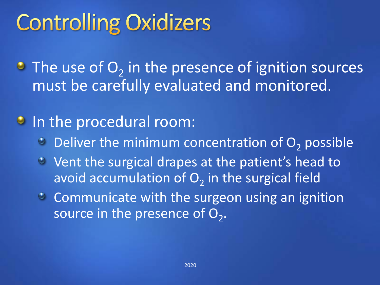## **Controlling Oxidizers**

The use of  $O_2$  in the presence of ignition sources must be carefully evaluated and monitored.

#### **In the procedural room:**

- $\bullet$  Deliver the minimum concentration of  $O<sub>2</sub>$  possible
- Vent the surgical drapes at the patient's head to avoid accumulation of  $O_2$  in the surgical field
- Communicate with the surgeon using an ignition source in the presence of  $\mathsf{O}_2.$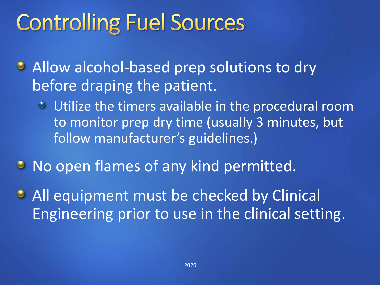### **Controlling Fuel Sources**

- Allow alcohol-based prep solutions to dry before draping the patient.
	- Utilize the timers available in the procedural room to monitor prep dry time (usually 3 minutes, but follow manufacturer's guidelines.)
- **No open flames of any kind permitted.**
- All equipment must be checked by Clinical Engineering prior to use in the clinical setting.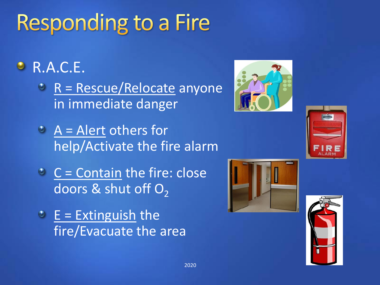# **Responding to a Fire**

#### R.A.C.E.

- $R =$  Rescue/Relocate anyone in immediate danger
- $A =$  Alert others for help/Activate the fire alarm
- $C =$  Contain the fire: close doors & shut off  $O<sub>2</sub>$
- $E =$  Extinguish the fire/Evacuate the area





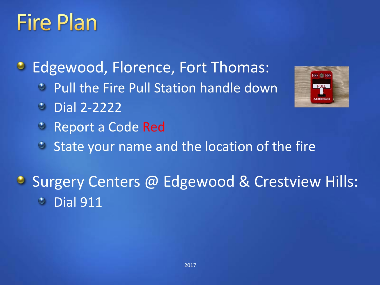### **Fire Plan**

 $\bullet$ Edgewood, Florence, Fort Thomas:

- **Pull the Fire Pull Station handle down**
- Dial 2-2222
- Report a Code Red
- State your name and the location of the fire  $\bullet$

**Surgery Centers @ Edgewood & Crestview Hills: Dial 911** 

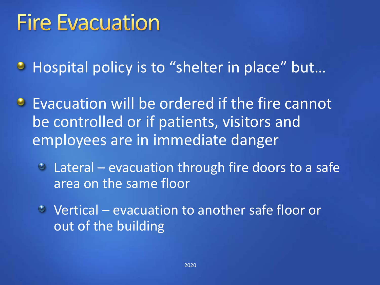### **Fire Evacuation**

**• Hospital policy is to "shelter in place" but...** 

**Evacuation will be ordered if the fire cannot** be controlled or if patients, visitors and employees are in immediate danger

• Lateral – evacuation through fire doors to a safe area on the same floor

Vertical – evacuation to another safe floor or out of the building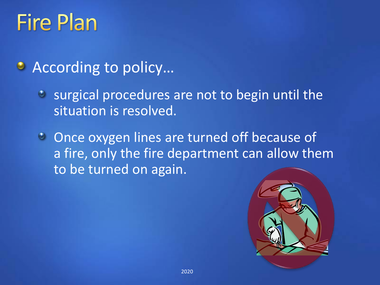### **Fire Plan**

- According to policy...
	- surgical procedures are not to begin until the situation is resolved.
	- **C** Once oxygen lines are turned off because of a fire, only the fire department can allow them to be turned on again.

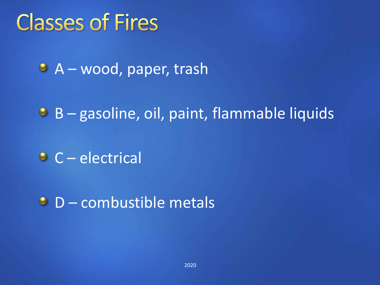#### **Classes of Fires**

• A – wood, paper, trash

 $\bullet$  B – gasoline, oil, paint, flammable liquids

C – electrical

**D** – combustible metals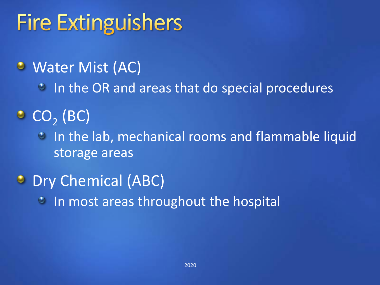### **Fire Extinguishers**

#### Water Mist (AC)

- **In the OR and areas that do special procedures**
- $CO<sub>2</sub>$  (BC)
	- **In the lab, mechanical rooms and flammable liquid** storage areas
- **Dry Chemical (ABC)** 
	- **In most areas throughout the hospital**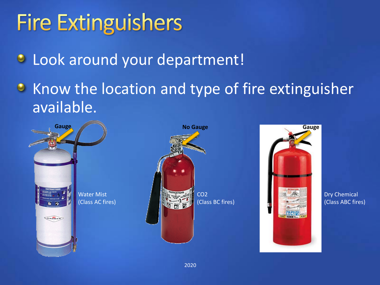### **Fire Extinguishers**

**C** Look around your department!

• Know the location and type of fire extinguisher available.







Dry Chemical (Class ABC fires)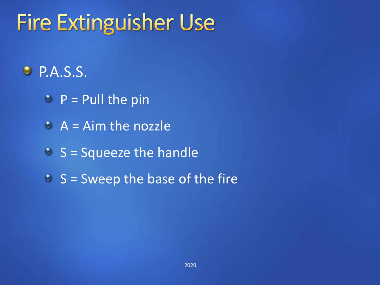### **Fire Extinguisher Use**

#### P.A.S.S.

- $P =$  Pull the pin
- $A = A$ im the nozzle
- $S =$  Squeeze the handle
- $S =$  Sweep the base of the fire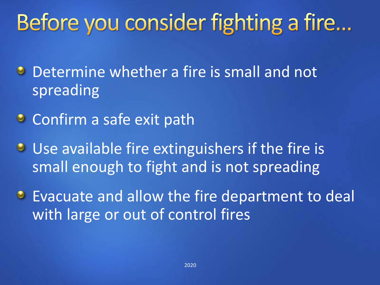## Before you consider fighting a fire...

- **Determine whether a fire is small and not** spreading
- Confirm a safe exit path
- **Use available fire extinguishers if the fire is** small enough to fight and is not spreading
- **Evacuate and allow the fire department to deal** with large or out of control fires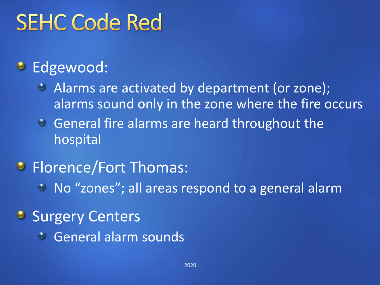### **SEHC Code Red**

#### **C** Edgewood:

- Alarms are activated by department (or zone); alarms sound only in the zone where the fire occurs
- General fire alarms are heard throughout the hospital

#### **B** Florence/Fort Thomas:

No "zones"; all areas respond to a general alarm

#### **Surgery Centers**

General alarm sounds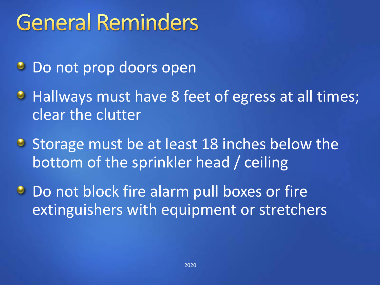### **General Reminders**

- **Do not prop doors open**
- Hallways must have 8 feet of egress at all times; clear the clutter
- **C** Storage must be at least 18 inches below the bottom of the sprinkler head / ceiling
- **Do not block fire alarm pull boxes or fire** extinguishers with equipment or stretchers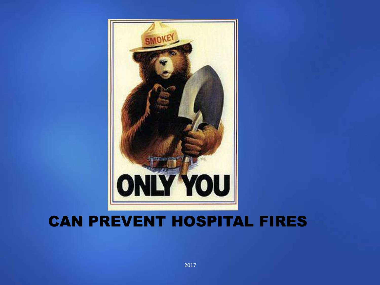

#### CAN PREVENT HOSPITAL FIRES